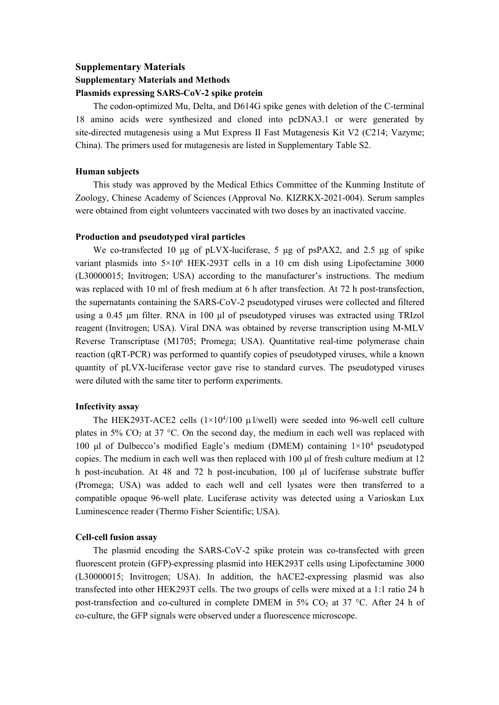# **Supplementary Materials Supplementary Materials and Methods Plasmids expressing SARS-CoV-2 spike protein**

The codon-optimized Mu, Delta, and D614G spike genes with deletion of the C-terminal 18 amino acids were synthesized and cloned into pcDNA3.1 or were generated by site-directed mutagenesis using a Mut Express II Fast Mutagenesis Kit V2 (C214; Vazyme; China). The primers used for mutagenesis are listed in Supplementary Table S2.

## **Human subjects**

This study was approved by the Medical Ethics Committee of the Kunming Institute of Zoology, Chinese Academy of Sciences (Approval No. KIZRKX-2021-004). Serum samples were obtained from eight volunteers vaccinated with two doses by an inactivated vaccine.

## **Production and pseudotyped viral particles**

We co-transfected 10 μg of pLVX-luciferase, 5 μg of psPAX2, and 2.5 μg of spike variant plasmids into 5×10 <sup>6</sup> HEK-293T cells in a 10 cm dish using Lipofectamine 3000 (L30000015; Invitrogen; USA) according to the manufacturer's instructions. The medium was replaced with 10 ml of fresh medium at 6 h after transfection. At 72 h post-transfection, the supernatants containing the SARS-CoV-2 pseudotyped viruses were collected and filtered using a 0.45 μm filter. RNA in 100 μl of pseudotyped viruses was extracted using TRIzol reagent (Invitrogen; USA). Viral DNA was obtained by reverse transcription using M-MLV Reverse Transcriptase (M1705; Promega; USA). Quantitative real-time polymerase chain reaction (qRT-PCR) was performed to quantify copies of pseudotyped viruses, while a known quantity of pLVX-luciferase vector gave rise to standard curves. The pseudotyped viruses were diluted with the same titer to perform experiments.

# **Infectivity assay**

The HEK293T-ACE2 cells  $(1 \times 10^{4}/100 \mu I/well)$  were seeded into 96-well cell culture plates in 5%  $CO<sub>2</sub>$  at 37 °C. On the second day, the medium in each well was replaced with 100 μl of Dulbecco's modified Eagle's medium (DMEM) containing 1×10 <sup>4</sup> pseudotyped copies. The medium in each well was then replaced with 100 μl of fresh culture medium at 12 h post-incubation. At 48 and 72 h post-incubation, 100 μl of luciferase substrate buffer (Promega; USA) was added to each well and cell lysates were then transferred to a compatible opaque 96-well plate. Luciferase activity was detected using a Varioskan Lux Luminescence reader (Thermo Fisher Scientific; USA).

## **Cell-cell fusion assay**

The plasmid encoding the SARS-CoV-2 spike protein was co-transfected with green fluorescent protein (GFP)-expressing plasmid into HEK293T cells using Lipofectamine 3000 (L30000015; Invitrogen; USA). In addition, the hACE2-expressing plasmid was also transfected into other HEK293T cells. The two groups of cells were mixed at a 1:1 ratio 24 h post-transfection and co-cultured in complete DMEM in 5% CO<sub>2</sub> at 37 °C. After 24 h of co-culture, the GFP signals were observed under a fluorescence microscope.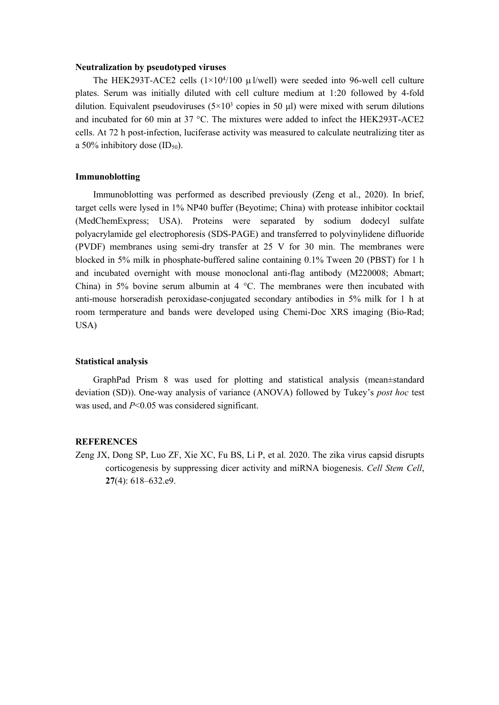#### **Neutralization by pseudotyped viruses**

The HEK293T-ACE2 cells  $(1 \times 10^{4}/100 \mu I/well)$  were seeded into 96-well cell culture plates. Serum was initially diluted with cell culture medium at 1:20 followed by 4-fold dilution. Equivalent pseudoviruses  $(5 \times 10^3$  copies in 50  $\mu$ l) were mixed with serum dilutions and incubated for 60 min at 37 °C. The mixtures were added to infect the HEK293T-ACE2 cells. At 72 h post-infection, luciferase activity was measured to calculate neutralizing titer as a 50% inhibitory dose  $(ID_{50}).$ 

### **Immunoblotting**

Immunoblotting was performed as described previously (Zeng et al., 2020). In brief, target cells were lysed in 1% NP40 buffer (Beyotime; China) with protease inhibitor cocktail (MedChemExpress; USA). Proteins were separated by sodium dodecyl sulfate polyacrylamide gel electrophoresis (SDS-PAGE) and transferred to polyvinylidene difluoride (PVDF) membranes using semi-dry transfer at 25 V for 30 min. The membranes were blocked in 5% milk in phosphate-buffered saline containing 0.1% Tween 20 (PBST) for 1 h and incubated overnight with mouse monoclonal anti-flag antibody (M220008; Abmart; China) in 5% bovine serum albumin at 4  $\degree$ C. The membranes were then incubated with anti-mouse horseradish peroxidase-conjugated secondary antibodies in 5% milk for 1 h at room termperature and bands were developed using Chemi-Doc XRS imaging (Bio-Rad; USA)

#### **Statistical analysis**

GraphPad Prism 8 was used for plotting and statistical analysis (mean±standard deviation (SD)). One-way analysis of variance (ANOVA) followed by Tukey's *post hoc* test was used, and *P*<0.05 was considered significant.

#### **REFERENCES**

Zeng JX, Dong SP, Luo ZF, Xie XC, Fu BS, Li P, et al*.* 2020. The zika virus capsid disrupts corticogenesis by suppressing dicer activity and miRNA biogenesis. *Cell Stem Cell*, **27**(4): 618–632.e9.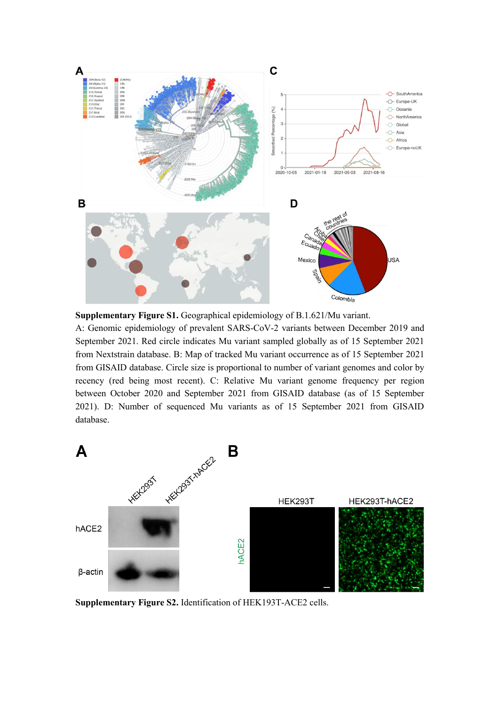

**Supplementary Figure S1.** Geographical epidemiology of B.1.621/Mu variant.

A: Genomic epidemiology of prevalent SARS-CoV-2 variants between December 2019 and September 2021. Red circle indicates Mu variant sampled globally as of 15 September 2021 from Nextstrain database. B: Map of tracked Mu variant occurrence as of 15 September 2021 from GISAID database. Circle size is proportional to number of variant genomes and color by recency (red being most recent). C: Relative Mu variant genome frequency per region between October 2020 and September 2021 from GISAID database (as of 15 September 2021). D: Number of sequenced Mu variants as of 15 September 2021 from GISAID database.



**Supplementary Figure S2.** Identification of HEK193T-ACE2 cells.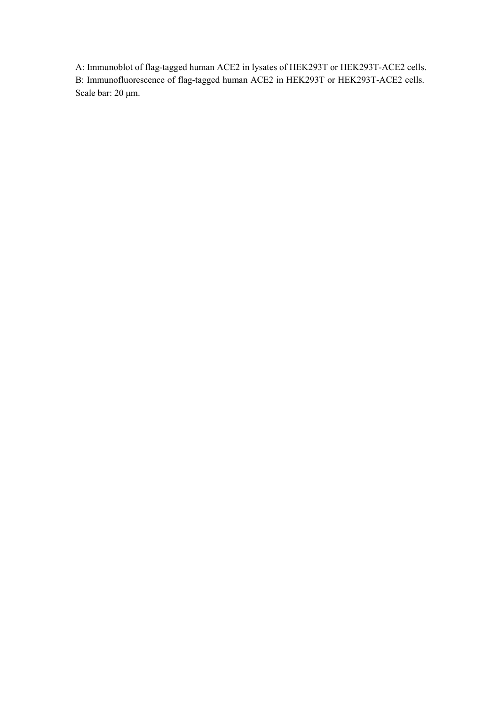A: Immunoblot of flag-tagged human ACE2 in lysates of HEK293T or HEK293T-ACE2 cells. B: Immunofluorescence of flag-tagged human ACE2 in HEK293T or HEK293T-ACE2 cells. Scale bar: 20 μm.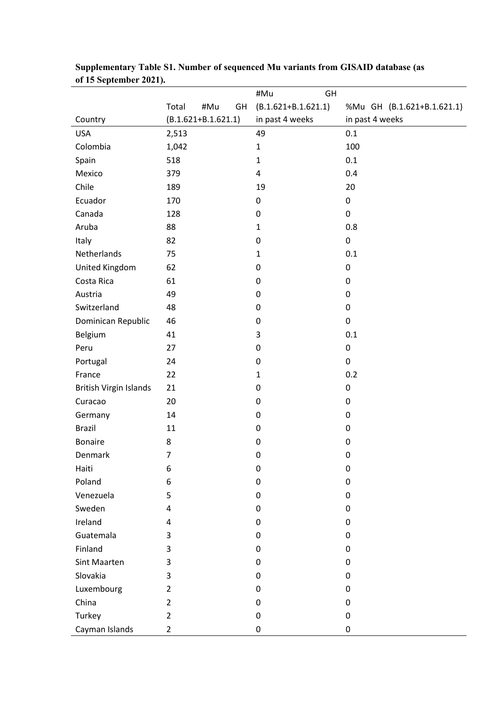|                               |                         | #Mu<br>GH               |                            |
|-------------------------------|-------------------------|-------------------------|----------------------------|
|                               | Total<br>#Mu<br>GH      | $(B.1.621 + B.1.621.1)$ | %Mu GH (B.1.621+B.1.621.1) |
| Country                       | $(B.1.621 + B.1.621.1)$ | in past 4 weeks         | in past 4 weeks            |
| <b>USA</b>                    | 2,513                   | 49                      | 0.1                        |
| Colombia                      | 1,042                   | $\mathbf{1}$            | 100                        |
| Spain                         | 518                     | $\mathbf{1}$            | 0.1                        |
| Mexico                        | 379                     | 4                       | 0.4                        |
| Chile                         | 189                     | 19                      | 20                         |
| Ecuador                       | 170                     | 0                       | $\pmb{0}$                  |
| Canada                        | 128                     | $\mathbf 0$             | 0                          |
| Aruba                         | 88                      | $\mathbf{1}$            | 0.8                        |
| Italy                         | 82                      | 0                       | $\pmb{0}$                  |
| Netherlands                   | 75                      | $\mathbf{1}$            | 0.1                        |
| United Kingdom                | 62                      | 0                       | $\pmb{0}$                  |
| Costa Rica                    | 61                      | 0                       | 0                          |
| Austria                       | 49                      | $\mathbf 0$             | 0                          |
| Switzerland                   | 48                      | 0                       | $\pmb{0}$                  |
| Dominican Republic            | 46                      | 0                       | $\pmb{0}$                  |
| Belgium                       | 41                      | 3                       | 0.1                        |
| Peru                          | 27                      | 0                       | $\pmb{0}$                  |
| Portugal                      | 24                      | 0                       | $\pmb{0}$                  |
| France                        | 22                      | $\mathbf{1}$            | 0.2                        |
| <b>British Virgin Islands</b> | 21                      | 0                       | 0                          |
| Curacao                       | 20                      | 0                       | 0                          |
| Germany                       | 14                      | $\mathbf 0$             | 0                          |
| <b>Brazil</b>                 | 11                      | $\pmb{0}$               | $\pmb{0}$                  |
| <b>Bonaire</b>                | 8                       | 0                       | $\pmb{0}$                  |
| Denmark                       | $\overline{7}$          | $\pmb{0}$               | $\pmb{0}$                  |
| Haiti                         | 6                       | 0                       | 0                          |
| Poland                        | 6                       | $\pmb{0}$               | 0                          |
| Venezuela                     | 5                       | $\mathbf 0$             | 0                          |
| Sweden                        | 4                       | 0                       | 0                          |
| Ireland                       | 4                       | 0                       | 0                          |
| Guatemala                     | 3                       | $\mathbf 0$             | 0                          |
| Finland                       | 3                       | 0                       | 0                          |
| Sint Maarten                  | 3                       | 0                       | 0                          |
| Slovakia                      | 3                       | $\mathbf 0$             | 0                          |
| Luxembourg                    | $\overline{2}$          | 0                       | 0                          |
| China                         | $\overline{2}$          | $\mathbf 0$             | 0                          |
| Turkey                        | $\overline{2}$          | 0                       | 0                          |
| Cayman Islands                | $\overline{2}$          | 0                       | 0                          |

| Supplementary Table S1. Number of sequenced Mu variants from GISAID database (as |  |
|----------------------------------------------------------------------------------|--|
| of 15 September 2021).                                                           |  |